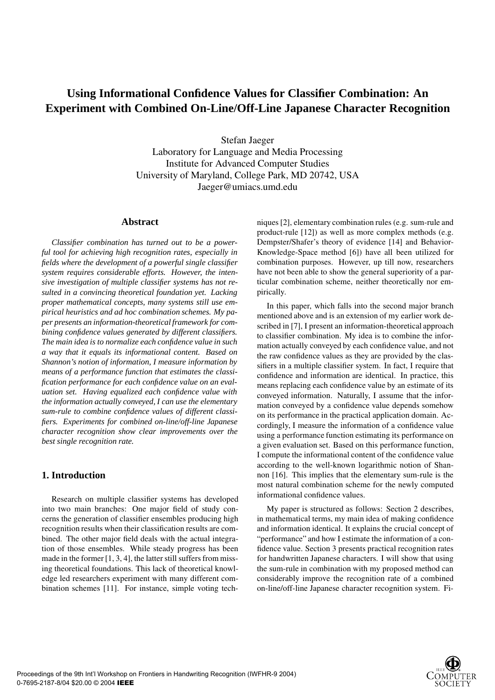# **Using Informational Confidence Values for Classifier Combination: An Experiment with Combined On-Line/Off-Line Japanese Character Recognition**

Stefan Jaeger Laboratory for Language and Media Processing Institute for Advanced Computer Studies University of Maryland, College Park, MD 20742, USA Jaeger@umiacs.umd.edu

#### **Abstract**

*Classifier combination has turned out to be a powerful tool for achieving high recognition rates, especially in fields where the development of a powerful single classifier system requires considerable efforts. However, the intensive investigation of multiple classifier systems has not resulted in a convincing theoretical foundation yet. Lacking proper mathematical concepts, many systems still use empirical heuristics and ad hoc combination schemes. My paper presents an information-theoretical framework for combining confidence values generated by different classifiers. The main idea is to normalize each confidence value in such a way that it equals its informational content. Based on Shannon's notion of information, I measure information by means of a performance function that estimates the classification performance for each confidence value on an evaluation set. Having equalized each confidence value with the information actually conveyed, I can use the elementary sum-rule to combine confidence values of different classifiers. Experiments for combined on-line/off-line Japanese character recognition show clear improvements over the best single recognition rate.*

## **1. Introduction**

Research on multiple classifier systems has developed into two main branches: One major field of study concerns the generation of classifier ensembles producing high recognition results when their classification results are combined. The other major field deals with the actual integration of those ensembles. While steady progress has been made in the former [1, 3, 4], the latter still suffers from missing theoretical foundations. This lack of theoretical knowledge led researchers experiment with many different combination schemes [11]. For instance, simple voting techniques [2], elementary combination rules (e.g. sum-rule and product-rule [12]) as well as more complex methods (e.g. Dempster/Shafer's theory of evidence [14] and Behavior-Knowledge-Space method [6]) have all been utilized for combination purposes. However, up till now, researchers have not been able to show the general superiority of a particular combination scheme, neither theoretically nor empirically.

In this paper, which falls into the second major branch mentioned above and is an extension of my earlier work described in [7], I present an information-theoretical approach to classifier combination. My idea is to combine the information actually conveyed by each confidence value, and not the raw confidence values as they are provided by the classifiers in a multiple classifier system. In fact, I require that confidence and information are identical. In practice, this means replacing each confidence value by an estimate of its conveyed information. Naturally, I assume that the information conveyed by a confidence value depends somehow on its performance in the practical application domain. Accordingly, I measure the information of a confidence value using a performance function estimating its performance on a given evaluation set. Based on this performance function, I compute the informational content of the confidence value according to the well-known logarithmic notion of Shannon [16]. This implies that the elementary sum-rule is the most natural combination scheme for the newly computed informational confidence values.

My paper is structured as follows: Section 2 describes, in mathematical terms, my main idea of making confidence and information identical. It explains the crucial concept of "performance" and how I estimate the information of a confidence value. Section 3 presents practical recognition rates for handwritten Japanese characters. I will show that using the sum-rule in combination with my proposed method can considerably improve the recognition rate of a combined on-line/off-line Japanese character recognition system. Fi-

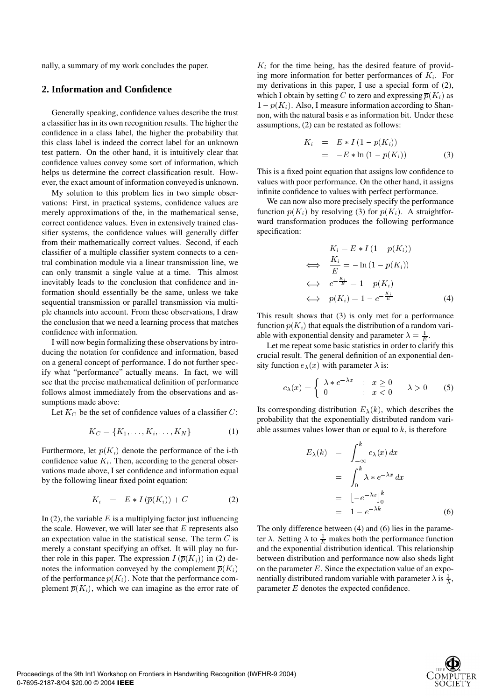nally, a summary of my work concludes the paper.

## **2. Information and Confidence**

Generally speaking, confidence values describe the trust a classifier has in its own recognition results. The higher the confidence in a class label, the higher the probability that this class label is indeed the correct label for an unknown test pattern. On the other hand, it is intuitively clear that confidence values convey some sort of information, which helps us determine the correct classification result. However, the exact amount of information conveyed is unknown.

My solution to this problem lies in two simple observations: First, in practical systems, confidence values are merely approximations of the, in the mathematical sense, correct confidence values. Even in extensively trained classifier systems, the confidence values will generally differ from their mathematically correct values. Second, if each classifier of a multiple classifier system connects to a central combination module via a linear transmission line, we can only transmit a single value at a time. This almost inevitably leads to the conclusion that confidence and information should essentially be the same, unless we take sequential transmission or parallel transmission via multiple channels into account. From these observations, I draw the conclusion that we need a learning process that matches confidence with information.

I will now begin formalizing these observations by introducing the notation for confidence and information, based on a general concept of performance. I do not further specify what "performance" actually means. In fact, we will see that the precise mathematical definition of performance follows almost immediately from the observations and assumptions made above:

Let  $K_C$  be the set of confidence values of a classifier  $C$ :

$$
K_C = \{K_1, \ldots, K_i, \ldots, K_N\} \tag{1}
$$

Furthermore, let  $p(K_i)$  denote the performance of the i-th confidence value  $K_i$ . Then, according to the general observations made above, I set confidence and information equal by the following linear fixed point equation:

$$
K_i = E * I(\overline{p}(K_i)) + C \tag{2}
$$

In (2), the variable  $E$  is a multiplying factor just influencing the scale. However, we will later see that  $E$  represents also an expectation value in the statistical sense. The term  $C$  is merely a constant specifying an offset. It will play no further role in this paper. The expression  $I(\overline{p}(K_i))$  in (2) denotes the information conveyed by the complement  $\overline{p}(K_i)$ of the performance  $p(K_i)$ . Note that the performance complement  $\overline{p}(K_i)$ , which we can imagine as the error rate of

 $K_i$  for the time being, has the desired feature of providing more information for better performances of  $K_i$ . For my derivations in this paper, I use a special form of (2), which I obtain by setting C to zero and expressing  $\overline{p}(K_i)$  as  $1 - p(K_i)$ . Also, I measure information according to Shannon, with the natural basis  $e$  as information bit. Under these assumptions, (2) can be restated as follows:

$$
K_i = E * I (1 - p(K_i))
$$
  
= -E \* ln (1 - p(K\_i)) (3)

This is a fixed point equation that assigns low confidence to values with poor performance. On the other hand, it assigns infinite confidence to values with perfect performance.

We can now also more precisely specify the performance function  $p(K_i)$  by resolving (3) for  $p(K_i)$ . A straightforward transformation produces the following performance specification:

$$
K_i = E * I (1 - p(K_i))
$$
  
\n
$$
\iff \frac{K_i}{E} = -\ln(1 - p(K_i))
$$
  
\n
$$
\iff e^{-\frac{K_i}{E}} = 1 - p(K_i)
$$
  
\n
$$
\iff p(K_i) = 1 - e^{-\frac{K_i}{E}}
$$
 (4)

This result shows that (3) is only met for a performance function  $p(K_i)$  that equals the distribution of a random variable with exponential density and parameter  $\lambda = \frac{1}{E}$ .

Let me repeat some basic statistics in order to clarify this crucial result. The general definition of an exponential density function  $e_{\lambda}(x)$  with parameter  $\lambda$  is:

$$
e_{\lambda}(x) = \begin{cases} \lambda * e^{-\lambda x} & : x \ge 0 \\ 0 & : x < 0 \end{cases} \quad \lambda > 0 \qquad (5)
$$

Its corresponding distribution  $E_{\lambda}(k)$ , which describes the probability that the exponentially distributed random variable assumes values lower than or equal to  $k$ , is therefore

$$
E_{\lambda}(k) = \int_{-\infty}^{k} e_{\lambda}(x) dx
$$
  

$$
= \int_{0}^{k} \lambda * e^{-\lambda x} dx
$$
  

$$
= [-e^{-\lambda x}]_{0}^{k}
$$
  

$$
= 1 - e^{-\lambda k}
$$
 (6)

on the parameter  $E$ . Since the expectation value of an expo-The only difference between (4) and (6) lies in the parameter  $\lambda$ . Setting  $\lambda$  to  $\frac{1}{E}$  makes both the performance function and the exponential distribution identical. This relationship between distribution and performance now also sheds light nentially distributed random variable with parameter  $\lambda$  is  $\frac{1}{\lambda}$ , parameter  $E$  denotes the expected confidence.

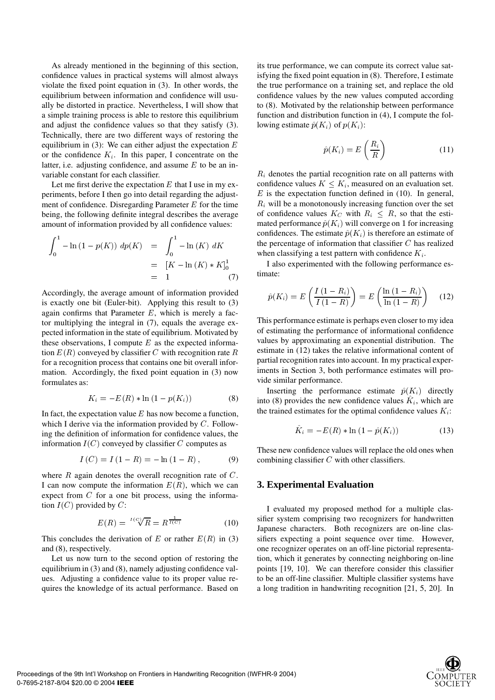As already mentioned in the beginning of this section, confidence values in practical systems will almost always violate the fixed point equation in (3). In other words, the equilibrium between information and confidence will usually be distorted in practice. Nevertheless, I will show that a simple training process is able to restore this equilibrium and adjust the confidence values so that they satisfy (3). Technically, there are two different ways of restoring the equilibrium in (3): We can either adjust the expectation  $E$ or the confidence  $K_i$ . In this paper, I concentrate on the latter, i.e. adjusting confidence, and assume  $E$  to be an invariable constant for each classifier.

Let me first derive the expectation  $E$  that I use in my experiments, before I then go into detail regarding the adjustment of confidence. Disregarding Parameter  $E$  for the time being, the following definite integral describes the average amount of information provided by all confidence values:

$$
\int_0^1 -\ln(1 - p(K)) \, dp(K) = \int_0^1 -\ln(K) \, dK
$$
  
= 
$$
[K - \ln(K) * K]_0^1
$$
  
= 1 (7)

Accordingly, the average amount of information provided is exactly one bit (Euler-bit). Applying this result to (3) again confirms that Parameter  $E$ , which is merely a factor multiplying the integral in (7), equals the average expected information in the state of equilibrium. Motivated by these observations, I compute  $E$  as the expected information  $E(R)$  conveyed by classifier C with recognition rate  $R$  estimate for a recognition process that contains one bit overall information. Accordingly, the fixed point equation in (3) now formulates as:

$$
K_i = -E(R) * \ln(1 - p(K_i))
$$
 (8)

In fact, the expectation value  $E$  has now become a function, which I derive via the information provided by  $C$ . Following the definition of information for confidence values, the information  $I(C)$  conveyed by classifier C computes as

$$
I(C) = I(1 - R) = -\ln(1 - R), \tag{9}
$$

where  $R$  again denotes the overall recognition rate of  $C$ . I can now compute the information  $E(R)$ , which we can expect from  $C$  for a one bit process, using the information  $I(C)$  provided by  $C$ :

$$
E(R) = \sqrt[I(C)]{R}
$$

This concludes the derivation of E or rather  $E(R)$  in (3) and (8), respectively.

Let us now turn to the second option of restoring the equilibrium in (3) and (8), namely adjusting confidence values. Adjusting a confidence value to its proper value requires the knowledge of its actual performance. Based on its true performance, we can compute its correct value satisfying the fixed point equation in (8). Therefore, I estimate the true performance on a training set, and replace the old confidence values by the new values computed according to (8). Motivated by the relationship between performance function and distribution function in (4), I compute the following estimate  $\hat{p}(K_i)$  of  $p(K_i)$ :

$$
\hat{p}(K_i) = E\left(\frac{R_i}{R}\right) \tag{11}
$$

 $R_i$  denotes the partial recognition rate on all patterns with confidence values  $K \leq K_i$ , measured on an evaluation set.  $E$  is the expectation function defined in (10). In general,  $R_i$  will be a monotonously increasing function over the set of confidence values  $K_C$  with  $R_i \leq R$ , so that the estimated performance  $\hat{p}(K_i)$  will converge on 1 for increasing confidences. The estimate  $\hat{p}(K_i)$  is therefore an estimate of the percentage of information that classifier  $C$  has realized when classifying a test pattern with confidence  $K_i$ .

I also experimented with the following performance estimate:

$$
\hat{p}(K_i) = E\left(\frac{I(1 - R_i)}{I(1 - R)}\right) = E\left(\frac{\ln(1 - R_i)}{\ln(1 - R)}\right) \quad (12)
$$

This performance estimate is perhaps even closer to my idea of estimating the performance of informational confidence values by approximating an exponential distribution. The estimate in (12) takes the relative informational content of partial recognition rates into account. In my practical experiments in Section 3, both performance estimates will provide similar performance.

Inserting the performance estimate  $\hat{p}(K_i)$  directly into (8) provides the new confidence values  $K_i$ , which are the trained estimates for the optimal confidence values  $K_i$ :

$$
\hat{K}_i = -E(R) * \ln(1 - \hat{p}(K_i))
$$
\n(13)

These new confidence values will replace the old ones when combining classifier  $C$  with other classifiers.

### **3. Experimental Evaluation**

I evaluated my proposed method for a multiple classifier system comprising two recognizers for handwritten Japanese characters. Both recognizers are on-line classifiers expecting a point sequence over time. However, one recognizer operates on an off-line pictorial representation, which it generates by connecting neighboring on-line points [19, 10]. We can therefore consider this classifier to be an off-line classifier. Multiple classifier systems have a long tradition in handwriting recognition [21, 5, 20]. In

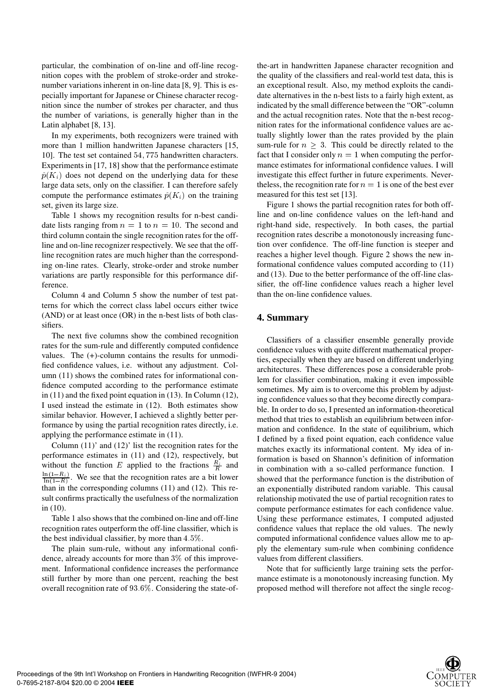particular, the combination of on-line and off-line recognition copes with the problem of stroke-order and strokenumber variations inherent in on-line data [8, 9]. This is especially important for Japanese or Chinese character recognition since the number of strokes per character, and thus the number of variations, is generally higher than in the Latin alphabet [8, 13].

In my experiments, both recognizers were trained with more than 1 million handwritten Japanese characters [15, 10]. The test set contained 54, 775 handwritten characters. Experiments in [17, 18] show that the performance estimate  $\hat{p}(K_i)$  does not depend on the underlying data for these large data sets, only on the classifier. I can therefore safely compute the performance estimates  $\hat{p}(K_i)$  on the training set, given its large size.

Table 1 shows my recognition results for n-best candidate lists ranging from  $n = 1$  to  $n = 10$ . The second and third column contain the single recognition rates for the offline and on-line recognizer respectively. We see that the offline recognition rates are much higher than the corresponding on-line rates. Clearly, stroke-order and stroke number variations are partly responsible for this performance difference.

Column 4 and Column 5 show the number of test patterns for which the correct class label occurs either twice (AND) or at least once (OR) in the n-best lists of both classifiers.

The next five columns show the combined recognition rates for the sum-rule and differently computed confidence values. The (+)-column contains the results for unmodified confidence values, i.e. without any adjustment. Column (11) shows the combined rates for informational confidence computed according to the performance estimate in (11) and the fixed point equation in (13). In Column (12), I used instead the estimate in (12). Both estimates show similar behavior. However, I achieved a slightly better performance by using the partial recognition rates directly, i.e. applying the performance estimate in (11).

Column (11)' and (12)' list the recognition rates for the performance estimates in (11) and (12), respectively, but without the function E applied to the fractions  $\frac{R_i}{R}$  and -  $\frac{\ln(1 - h_i)}{\ln(1 - R)}$ . We see that the recognition rates are a bit lower than in the corresponding columns (11) and (12). This result confirms practically the usefulness of the normalization in (10).

Table 1 also shows that the combined on-line and off-line recognition rates outperform the off-line classifier, which is the best individual classifier, by more than  $4.5\%$ .

The plain sum-rule, without any informational confidence, already accounts for more than  $3\%$  of this improvement. Informational confidence increases the performance still further by more than one percent, reaching the best overall recognition rate of  $93.6\%$ . Considering the state-ofthe-art in handwritten Japanese character recognition and the quality of the classifiers and real-world test data, this is an exceptional result. Also, my method exploits the candidate alternatives in the n-best lists to a fairly high extent, as indicated by the small difference between the "OR"-column and the actual recognition rates. Note that the n-best recognition rates for the informational confidence values are actually slightly lower than the rates provided by the plain sum-rule for  $n > 3$ . This could be directly related to the fact that I consider only  $n = 1$  when computing the performance estimates for informational confidence values. I will investigate this effect further in future experiments. Nevertheless, the recognition rate for  $n = 1$  is one of the best ever measured for this test set [13].

Figure 1 shows the partial recognition rates for both offline and on-line confidence values on the left-hand and right-hand side, respectively. In both cases, the partial recognition rates describe a monotonously increasing function over confidence. The off-line function is steeper and reaches a higher level though. Figure 2 shows the new informational confidence values computed according to (11) and (13). Due to the better performance of the off-line classifier, the off-line confidence values reach a higher level than the on-line confidence values.

## **4. Summary**

Classifiers of a classifier ensemble generally provide confidence values with quite different mathematical properties, especially when they are based on different underlying architectures. These differences pose a considerable problem for classifier combination, making it even impossible sometimes. My aim is to overcome this problem by adjusting confidence values so that they become directly comparable. In order to do so, I presented an information-theoretical method that tries to establish an equilibrium between information and confidence. In the state of equilibrium, which I defined by a fixed point equation, each confidence value matches exactly its informational content. My idea of information is based on Shannon's definition of information in combination with a so-called performance function. I showed that the performance function is the distribution of an exponentially distributed random variable. This causal relationship motivated the use of partial recognition rates to compute performance estimates for each confidence value. Using these performance estimates, I computed adjusted confidence values that replace the old values. The newly computed informational confidence values allow me to apply the elementary sum-rule when combining confidence values from different classifiers.

Note that for sufficiently large training sets the performance estimate is a monotonously increasing function. My proposed method will therefore not affect the single recog-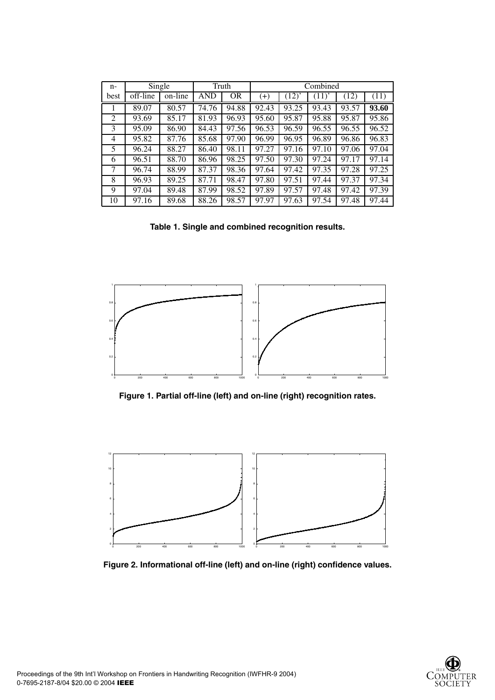| $n-$           | Single      |         | Truth |           | Combined |            |       |       |       |
|----------------|-------------|---------|-------|-----------|----------|------------|-------|-------|-------|
| best           | $off$ -line | on-line | AND   | <b>OR</b> | $^{(+)}$ | $(12)^{2}$ | (11)  | (12)  | (11)  |
|                | 89.07       | 80.57   | 74.76 | 94.88     | 92.43    | 93.25      | 93.43 | 93.57 | 93.60 |
| $\overline{c}$ | 93.69       | 85.17   | 81.93 | 96.93     | 95.60    | 95.87      | 95.88 | 95.87 | 95.86 |
| 3              | 95.09       | 86.90   | 84.43 | 97.56     | 96.53    | 96.59      | 96.55 | 96.55 | 96.52 |
| 4              | 95.82       | 87.76   | 85.68 | 97.90     | 96.99    | 96.95      | 96.89 | 96.86 | 96.83 |
| 5              | 96.24       | 88.27   | 86.40 | 98.11     | 97.27    | 97.16      | 97.10 | 97.06 | 97.04 |
| 6              | 96.51       | 88.70   | 86.96 | 98.25     | 97.50    | 97.30      | 97.24 | 97.17 | 97.14 |
| 7              | 96.74       | 88.99   | 87.37 | 98.36     | 97.64    | 97.42      | 97.35 | 97.28 | 97.25 |
| 8              | 96.93       | 89.25   | 87.71 | 98.47     | 97.80    | 97.51      | 97.44 | 97.37 | 97.34 |
| 9              | 97.04       | 89.48   | 87.99 | 98.52     | 97.89    | 97.57      | 97.48 | 97.42 | 97.39 |
| 10             | 97.16       | 89.68   | 88.26 | 98.57     | 97.97    | 97.63      | 97.54 | 97.48 | 97.44 |

**Table 1. Single and combined recognition results.**



**Figure 1. Partial off-line (left) and on-line (right) recognition rates.**



**Figure 2. Informational off-line (left) and on-line (right) confidence values.**